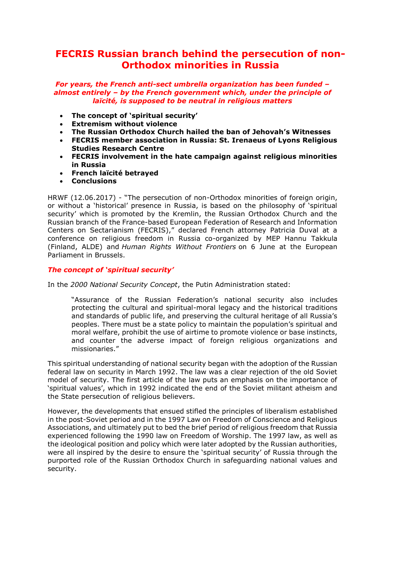# **FECRIS Russian branch behind the persecution of non-Orthodox minorities in Russia**

# *For years, the French anti-sect umbrella organization has been funded – almost entirely – by the French government which, under the principle of laïcité, is supposed to be neutral in religious matters*

- **The concept of 'spiritual security'**
- **Extremism without violence**
- **The Russian Orthodox Church hailed the ban of Jehovah's Witnesses**
- **FECRIS member association in Russia: St. Irenaeus of Lyons Religious Studies Research Centre**
- **FECRIS involvement in the hate campaign against religious minorities in Russia**
- **French laïcité betrayed**
- **Conclusions**

HRWF (12.06.2017) - "The persecution of non-Orthodox minorities of foreign origin, or without a 'historical' presence in Russia, is based on the philosophy of 'spiritual security' which is promoted by the Kremlin, the Russian Orthodox Church and the Russian branch of the France-based European Federation of Research and Information Centers on Sectarianism (FECRIS)," declared French attorney Patricia Duval at a conference on religious freedom in Russia co-organized by MEP Hannu Takkula (Finland, ALDE) and *Human Rights Without Frontiers* on 6 June at the European Parliament in Brussels.

# *The concept of 'spiritual security'*

In the *2000 National Security Concept*, the Putin Administration stated:

"Assurance of the Russian Federation's national security also includes protecting the cultural and spiritual-moral legacy and the historical traditions and standards of public life, and preserving the cultural heritage of all Russia's peoples. There must be a state policy to maintain the population's spiritual and moral welfare, prohibit the use of airtime to promote violence or base instincts, and counter the adverse impact of foreign religious organizations and missionaries."

This spiritual understanding of national security began with the adoption of the Russian federal law on security in March 1992. The law was a clear rejection of the old Soviet model of security. The first article of the law puts an emphasis on the importance of 'spiritual values', which in 1992 indicated the end of the Soviet militant atheism and the State persecution of religious believers.

However, the developments that ensued stifled the principles of liberalism established in the post-Soviet period and in the 1997 Law on Freedom of Conscience and Religious Associations, and ultimately put to bed the brief period of religious freedom that Russia experienced following the 1990 law on Freedom of Worship. The 1997 law, as well as the ideological position and policy which were later adopted by the Russian authorities, were all inspired by the desire to ensure the 'spiritual security' of Russia through the purported role of the Russian Orthodox Church in safeguarding national values and security.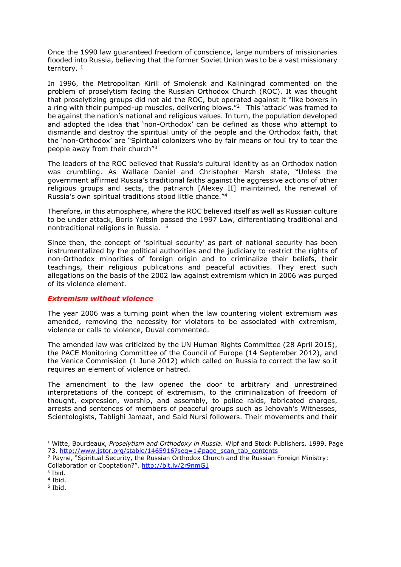Once the 1990 law guaranteed freedom of conscience, large numbers of missionaries flooded into Russia, believing that the former Soviet Union was to be a vast missionary territory,  $1$ 

In 1996, the Metropolitan Kirill of Smolensk and Kaliningrad commented on the problem of proselytism facing the Russian Orthodox Church (ROC). It was thought that proselytizing groups did not aid the ROC, but operated against it "like boxers in a ring with their pumped-up muscles, delivering blows."<sup>2</sup> This 'attack' was framed to be against the nation's national and religious values. In turn, the population developed and adopted the idea that 'non-Orthodox' can be defined as those who attempt to dismantle and destroy the spiritual unity of the people and the Orthodox faith, that the 'non-Orthodox' are "Spiritual colonizers who by fair means or foul try to tear the people away from their church"<sup>3</sup>

The leaders of the ROC believed that Russia's cultural identity as an Orthodox nation was crumbling. As Wallace Daniel and Christopher Marsh state, "Unless the government affirmed Russia's traditional faiths against the aggressive actions of other religious groups and sects, the patriarch [Alexey II] maintained, the renewal of Russia's own spiritual traditions stood little chance."<sup>4</sup>

Therefore, in this atmosphere, where the ROC believed itself as well as Russian culture to be under attack, Boris Yeltsin passed the 1997 Law, differentiating traditional and nontraditional religions in Russia. <sup>5</sup>

Since then, the concept of 'spiritual security' as part of national security has been instrumentalized by the political authorities and the judiciary to restrict the rights of non-Orthodox minorities of foreign origin and to criminalize their beliefs, their teachings, their religious publications and peaceful activities. They erect such allegations on the basis of the 2002 law against extremism which in 2006 was purged of its violence element.

# *Extremism without violence*

The year 2006 was a turning point when the law countering violent extremism was amended, removing the necessity for violators to be associated with extremism, violence or calls to violence, Duval commented.

The amended law was criticized by the UN Human Rights Committee (28 April 2015), the PACE Monitoring Committee of the Council of Europe (14 September 2012), and the Venice Commission (1 June 2012) which called on Russia to correct the law so it requires an element of violence or hatred.

The amendment to the law opened the door to arbitrary and unrestrained interpretations of the concept of extremism, to the criminalization of freedom of thought, expression, worship, and assembly, to police raids, fabricated charges, arrests and sentences of members of peaceful groups such as Jehovah's Witnesses, Scientologists, Tablighi Jamaat, and Said Nursi followers. Their movements and their

-

<sup>1</sup> Witte, Bourdeaux, *Proselytism and Orthodoxy in Russia.* Wipf and Stock Publishers. 1999. Page 73. [http://www.jstor.org/stable/1465916?seq=1#page\\_scan\\_tab\\_contents](http://www.jstor.org/stable/1465916?seq=1#page_scan_tab_contents)

<sup>2</sup> Payne, "Spiritual Security, the Russian Orthodox Church and the Russian Foreign Ministry: Collaboration or Cooptation?". <http://bit.ly/2r9nmG1>

<sup>3</sup> Ibid.

<sup>4</sup> Ibid.

<sup>5</sup> Ibid.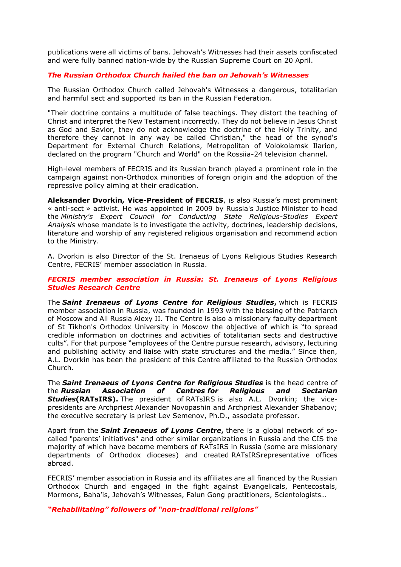publications were all victims of bans. Jehovah's Witnesses had their assets confiscated and were fully banned nation-wide by the Russian Supreme Court on 20 April.

# *The Russian Orthodox Church hailed the ban on Jehovah's Witnesses*

The Russian Orthodox Church called Jehovah's Witnesses a dangerous, totalitarian and harmful sect and supported its ban in the Russian Federation.

"Their doctrine contains a multitude of false teachings. They distort the teaching of Christ and interpret the New Testament incorrectly. They do not believe in Jesus Christ as God and Savior, they do not acknowledge the doctrine of the Holy Trinity, and therefore they cannot in any way be called Christian," the head of the synod's Department for External Church Relations, Metropolitan of Volokolamsk Ilarion, declared on the program "Church and World" on the Rossiia-24 television channel.

High-level members of FECRIS and its Russian branch played a prominent role in the campaign against non-Orthodox minorities of foreign origin and the adoption of the repressive policy aiming at their eradication.

**Aleksander Dvorkin, Vice-President of FECRIS**, is also Russia's most prominent « anti-sect » activist. He was appointed in 2009 by Russia's Justice Minister to head the *Ministry's Expert Council for Conducting State Religious-Studies Expert Analysis* whose mandate is to investigate the activity, doctrines, leadership decisions, literature and worship of any registered religious organisation and recommend action to the Ministry.

A. Dvorkin is also Director of the St. Irenaeus of Lyons Religious Studies Research Centre, FECRIS' member association in Russia.

#### *FECRIS member association in Russia: St. Irenaeus of Lyons Religious Studies Research Centre*

The *Saint Irenaeus of Lyons Centre for Religious Studies***,** which is FECRIS member association in Russia, was founded in 1993 with the blessing of the Patriarch of Moscow and All Russia Alexy II. The Centre is also a missionary faculty department of St Tikhon's Orthodox University in Moscow the objective of which is "to spread credible information on doctrines and activities of totalitarian sects and destructive cults". For that purpose "employees of the Centre pursue research, advisory, lecturing and publishing activity and liaise with state structures and the media." Since then, A.L. Dvorkin has been the president of this Centre affiliated to the Russian Orthodox Church.

The *Saint Irenaeus of Lyons Centre for Religious Studies* is the head centre of the *Russian Association of Centres for Religious and Sectarian Studies***(RATsIRS).** The president of RATsIRS is also A.L. Dvorkin; the vicepresidents are Archpriest Alexander Novopashin and Archpriest Alexander Shabanov; the executive secretary is priest Lev Semenov, Ph.D., associate professor.

Apart from the *Saint Irenaeus of Lyons Centre***,** there is a global network of socalled "parents' initiatives" and other similar organizations in Russia and the CIS the majority of which have become members of RATsIRS in Russia (some are missionary departments of Orthodox dioceses) and created RATsIRSrepresentative offices abroad.

FECRIS' member association in Russia and its affiliates are all financed by the Russian Orthodox Church and engaged in the fight against Evangelicals, Pentecostals, Mormons, Baha'is, Jehovah's Witnesses, Falun Gong practitioners, Scientologists…

*"Rehabilitating" followers of "non-traditional religions"*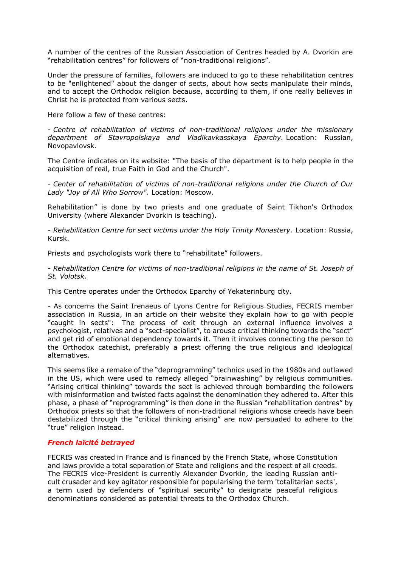A number of the centres of the Russian Association of Centres headed by A. Dvorkin are "rehabilitation centres" for followers of "non-traditional religions".

Under the pressure of families, followers are induced to go to these rehabilitation centres to be "enlightened" about the danger of sects, about how sects manipulate their minds, and to accept the Orthodox religion because, according to them, if one really believes in Christ he is protected from various sects.

Here follow a few of these centres:

- *Centre of rehabilitation of victims of non-traditional religions under the missionary department of Stavropolskaya and Vladikavkasskaya Eparchy.* Location: Russian, Novopavlovsk.

The Centre indicates on its website: "The basis of the department is to help people in the acquisition of real, true Faith in God and the Church".

- *Center of rehabilitation of victims of non-traditional religions under the Church of Our Lady "Joy of All Who Sorrow".* Location: Moscow.

Rehabilitation" is done by two priests and one graduate of Saint Tikhon's Orthodox University (where Alexander Dvorkin is teaching).

- *Rehabilitation Centre for sect victims under the Holy Trinity Monastery.* Location: Russia, Kursk.

Priests and psychologists work there to "rehabilitate" followers.

- *Rehabilitation Centre for victims of non-traditional religions in the name of St. Joseph of St. Volotsk.*

This Centre operates under the Orthodox Eparchy of Yekaterinburg city.

- As concerns the Saint Irenaeus of Lyons Centre for Religious Studies, FECRIS member association in Russia, in an article on their website they explain how to go with people "caught in sects": The process of exit through an external influence involves a psychologist, relatives and a "sect-specialist", to arouse critical thinking towards the "sect" and get rid of emotional dependency towards it. Then it involves connecting the person to the Orthodox catechist, preferably a priest offering the true religious and ideological alternatives.

This seems like a remake of the "deprogramming" technics used in the 1980s and outlawed in the US, which were used to remedy alleged "brainwashing" by religious communities. "Arising critical thinking" towards the sect is achieved through bombarding the followers with misinformation and twisted facts against the denomination they adhered to. After this phase, a phase of "reprogramming" is then done in the Russian "rehabilitation centres" by Orthodox priests so that the followers of non-traditional religions whose creeds have been destabilized through the "critical thinking arising" are now persuaded to adhere to the "true" religion instead.

# *French laïcité betrayed*

FECRIS was created in France and is financed by the French State, whose Constitution and laws provide a total separation of State and religions and the respect of all creeds. The FECRIS vice-President is currently Alexander Dvorkin, the leading Russian anticult crusader and key agitator responsible for popularising the term 'totalitarian sects', a term used by defenders of "spiritual security" to designate peaceful religious denominations considered as potential threats to the Orthodox Church.